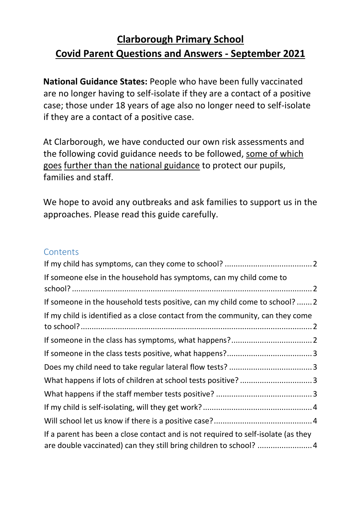#### **Clarborough Primary School Covid Parent Questions and Answers - September 2021**

**National Guidance States:** People who have been fully vaccinated are no longer having to self-isolate if they are a contact of a positive case; those under 18 years of age also no longer need to self-isolate if they are a contact of a positive case.

At Clarborough, we have conducted our own risk assessments and the following covid guidance needs to be followed, some of which goes further than the national guidance to protect our pupils, families and staff.

We hope to avoid any outbreaks and ask families to support us in the approaches. Please read this guide carefully.

#### **Contents**

| If someone else in the household has symptoms, can my child come to               |  |
|-----------------------------------------------------------------------------------|--|
| If someone in the household tests positive, can my child come to school?  2       |  |
| If my child is identified as a close contact from the community, can they come    |  |
|                                                                                   |  |
|                                                                                   |  |
|                                                                                   |  |
|                                                                                   |  |
|                                                                                   |  |
|                                                                                   |  |
|                                                                                   |  |
| If a parent has been a close contact and is not required to self-isolate (as they |  |
| are double vaccinated) can they still bring children to school? 4                 |  |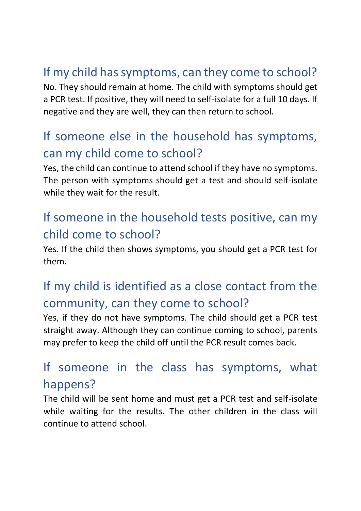## <span id="page-1-0"></span>If my child has symptoms, can they come to school?

No. They should remain at home. The child with symptoms should get a PCR test. If positive, they will need to self-isolate for a full 10 days. If negative and they are well, they can then return to school.

#### <span id="page-1-1"></span>If someone else in the household has symptoms, can my child come to school?

Yes, the child can continue to attend school if they have no symptoms. The person with symptoms should get a test and should self-isolate while they wait for the result.

### <span id="page-1-2"></span>If someone in the household tests positive, can my child come to school?

Yes. If the child then shows symptoms, you should get a PCR test for them.

# <span id="page-1-3"></span>If my child is identified as a close contact from the community, can they come to school?

Yes, if they do not have symptoms. The child should get a PCR test straight away. Although they can continue coming to school, parents may prefer to keep the child off until the PCR result comes back.

### <span id="page-1-4"></span>If someone in the class has symptoms, what happens?

The child will be sent home and must get a PCR test and self-isolate while waiting for the results. The other children in the class will continue to attend school.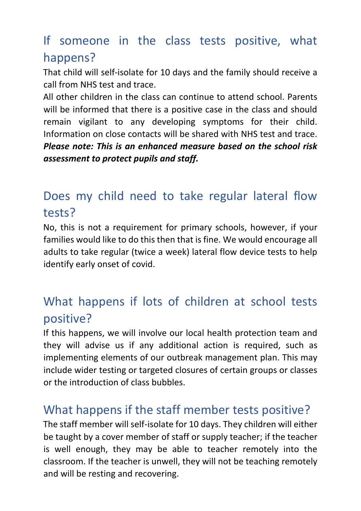### <span id="page-2-0"></span>If someone in the class tests positive, what happens?

That child will self-isolate for 10 days and the family should receive a call from NHS test and trace.

All other children in the class can continue to attend school. Parents will be informed that there is a positive case in the class and should remain vigilant to any developing symptoms for their child. Information on close contacts will be shared with NHS test and trace. *Please note: This is an enhanced measure based on the school risk assessment to protect pupils and staff.* 

## <span id="page-2-1"></span>Does my child need to take regular lateral flow tests?

No, this is not a requirement for primary schools, however, if your families would like to do this then that is fine. We would encourage all adults to take regular (twice a week) lateral flow device tests to help identify early onset of covid.

## <span id="page-2-2"></span>What happens if lots of children at school tests positive?

If this happens, we will involve our local health protection team and they will advise us if any additional action is required, such as implementing elements of our outbreak management plan. This may include wider testing or targeted closures of certain groups or classes or the introduction of class bubbles.

#### <span id="page-2-3"></span>What happens if the staff member tests positive?

The staff member will self-isolate for 10 days. They children will either be taught by a cover member of staff or supply teacher; if the teacher is well enough, they may be able to teacher remotely into the classroom. If the teacher is unwell, they will not be teaching remotely and will be resting and recovering.